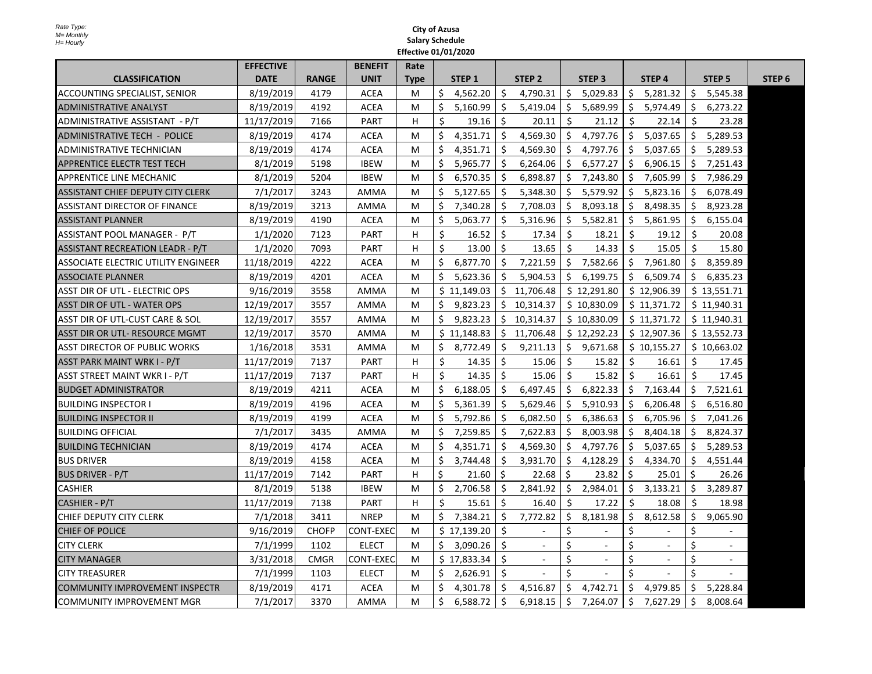|                                       | <b>EFFECTIVE</b> |              | <b>BENEFIT</b>   | Rate        |         |                   |     |                   |             |                   |             |                   |     |                   |                   |
|---------------------------------------|------------------|--------------|------------------|-------------|---------|-------------------|-----|-------------------|-------------|-------------------|-------------|-------------------|-----|-------------------|-------------------|
| <b>CLASSIFICATION</b>                 | <b>DATE</b>      | <b>RANGE</b> | <b>UNIT</b>      | <b>Type</b> |         | STEP <sub>1</sub> |     | STEP <sub>2</sub> |             | STEP <sub>3</sub> |             | STEP <sub>4</sub> |     | STEP <sub>5</sub> | STEP <sub>6</sub> |
| ACCOUNTING SPECIALIST, SENIOR         | 8/19/2019        | 4179         | <b>ACEA</b>      | M           | \$      | 4,562.20          | \$  | 4,790.31          | \$          | 5,029.83          | \$          | 5,281.32          | \$  | 5,545.38          |                   |
| <b>ADMINISTRATIVE ANALYST</b>         | 8/19/2019        | 4192         | <b>ACEA</b>      | M           | \$      | 5,160.99          | \$  | 5,419.04          | \$          | 5,689.99          | \$          | 5,974.49          | \$  | 6,273.22          |                   |
| ADMINISTRATIVE ASSISTANT - P/T        | 11/17/2019       | 7166         | <b>PART</b>      | H           | \$      | 19.16             | Ŝ.  | 20.11             | Ŝ.          | 21.12             | Ŝ.          | 22.14             | Ŝ.  | 23.28             |                   |
| <b>ADMINISTRATIVE TECH - POLICE</b>   | 8/19/2019        | 4174         | ACEA             | М           | \$      | 4,351.71          | \$  | 4,569.30          | \$          | 4,797.76          | \$          | 5,037.65          | \$  | 5,289.53          |                   |
| ADMINISTRATIVE TECHNICIAN             | 8/19/2019        | 4174         | <b>ACEA</b>      | M           | \$      | 4,351.71          | Ŝ.  | 4,569.30          | Ŝ.          | 4,797.76          | Ś.          | 5,037.65          | Ŝ.  | 5,289.53          |                   |
| APPRENTICE ELECTR TEST TECH           | 8/1/2019         | 5198         | <b>IBEW</b>      | M           | \$      | 5,965.77          | Ŝ.  | 6,264.06          | Ŝ.          | 6,577.27          | Ś.          | 6,906.15          | Ŝ.  | 7,251.43          |                   |
| APPRENTICE LINE MECHANIC              | 8/1/2019         | 5204         | <b>IBEW</b>      | М           | \$      | 6,570.35          | \$  | 6,898.87          | \$.         | 7,243.80          | \$          | 7,605.99          | Ś.  | 7,986.29          |                   |
| ASSISTANT CHIEF DEPUTY CITY CLERK     | 7/1/2017         | 3243         | <b>AMMA</b>      | М           | \$      | 5,127.65          | \$  | 5,348.30          | \$          | 5,579.92          | \$          | 5,823.16          | \$  | 6,078.49          |                   |
| ASSISTANT DIRECTOR OF FINANCE         | 8/19/2019        | 3213         | AMMA             | M           | Ś.      | 7.340.28          | Ś.  | 7,708.03          | Ŝ.          | 8,093.18          | Ŝ.          | 8,498.35          | Ś.  | 8,923.28          |                   |
| <b>ASSISTANT PLANNER</b>              | 8/19/2019        | 4190         | <b>ACEA</b>      | М           | \$      | 5,063.77          | \$  | 5,316.96          | \$          | 5,582.81          | \$          | 5,861.95          | \$. | 6,155.04          |                   |
| ASSISTANT POOL MANAGER - P/T          | 1/1/2020         | 7123         | <b>PART</b>      | н           | \$      | 16.52             | \$  | 17.34             | Ŝ.          | 18.21             | Ŝ.          | 19.12             | Ŝ.  | 20.08             |                   |
| ASSISTANT RECREATION LEADR - P/T      | 1/1/2020         | 7093         | PART             | н           | $\zeta$ | 13.00             | Ŝ.  | 13.65             | Ŝ.          | 14.33             | \$          | 15.05             | Ŝ.  | 15.80             |                   |
| ASSOCIATE ELECTRIC UTILITY ENGINEER   | 11/18/2019       | 4222         | <b>ACEA</b>      | М           | \$      | 6,877.70          | \$. | 7,221.59          | \$          | 7,582.66          | \$          | 7,961.80          | \$. | 8,359.89          |                   |
| <b>ASSOCIATE PLANNER</b>              | 8/19/2019        | 4201         | <b>ACEA</b>      | M           | Ś.      | 5,623.36          | Ŝ.  | 5,904.53          | \$          | 6,199.75          | Ŝ.          | 6,509.74          | Ŝ.  | 6,835.23          |                   |
| ASST DIR OF UTL - ELECTRIC OPS        | 9/16/2019        | 3558         | AMMA             | М           |         | \$11,149.03       |     | \$11,706.48       |             | \$12,291.80       |             | \$12,906.39       |     | \$13,551.71       |                   |
| ASST DIR OF UTL - WATER OPS           | 12/19/2017       | 3557         | AMMA             | М           | \$      | 9,823.23          |     | \$10,314.37       |             | \$10,830.09       |             | \$11,371.72       |     | \$11,940.31       |                   |
| ASST DIR OF UTL-CUST CARE & SOL       | 12/19/2017       | 3557         | <b>AMMA</b>      | М           | Ś.      | 9,823.23          |     | \$10,314.37       |             | \$10,830.09       |             | \$11,371.72       |     | \$11,940.31       |                   |
| ASST DIR OR UTL- RESOURCE MGMT        | 12/19/2017       | 3570         | AMMA             | M           |         | \$11,148.83       |     | \$11,706.48       |             | \$12,292.23       |             | \$12,907.36       |     | \$13,552.73       |                   |
| <b>ASST DIRECTOR OF PUBLIC WORKS</b>  | 1/16/2018        | 3531         | <b>AMMA</b>      | M           | \$      | 8,772.49          | \$  | 9,211.13          | \$          | 9,671.68          |             | \$10,155.27       |     | \$10,663.02       |                   |
| ASST PARK MAINT WRK I - P/T           | 11/17/2019       | 7137         | <b>PART</b>      | н           | $\zeta$ | 14.35             | Ŝ.  | 15.06             | \$          | 15.82             | Ŝ.          | 16.61             | Ŝ.  | 17.45             |                   |
| ASST STREET MAINT WKR I - P/T         | 11/17/2019       | 7137         | PART             | H           | \$      | 14.35             | Ŝ.  | 15.06             | Ŝ.          | 15.82             | Ŝ.          | 16.61             | Ŝ.  | 17.45             |                   |
| <b>BUDGET ADMINISTRATOR</b>           | 8/19/2019        | 4211         | <b>ACEA</b>      | M           | Ś.      | 6,188.05          | Ś.  | 6,497.45          | \$          | 6,822.33          | Ŝ.          | 7,163.44          | Ŝ.  | 7,521.61          |                   |
| <b>BUILDING INSPECTOR I</b>           | 8/19/2019        | 4196         | <b>ACEA</b>      | М           | \$      | 5,361.39          | \$  | 5,629.46          | \$.         | 5,910.93          | \$          | 6,206.48          | \$  | 6,516.80          |                   |
| <b>BUILDING INSPECTOR II</b>          | 8/19/2019        | 4199         | <b>ACEA</b>      | M           | Ś.      | 5,792.86          | Ś.  | 6,082.50          | \$          | 6,386.63          | Ŝ.          | 6,705.96          | S.  | 7,041.26          |                   |
| <b>BUILDING OFFICIAL</b>              | 7/1/2017         | 3435         | <b>AMMA</b>      | M           | Ś.      | 7,259.85          | Ŝ.  | 7,622.83          | Ŝ.          | 8,003.98          | Ŝ.          | 8,404.18          | Ŝ.  | 8,824.37          |                   |
| <b>BUILDING TECHNICIAN</b>            | 8/19/2019        | 4174         | <b>ACEA</b>      | М           | \$      | 4,351.71          | Ŝ.  | 4,569.30          | \$          | 4,797.76          | Ŝ.          | 5,037.65          | Ŝ.  | 5,289.53          |                   |
| <b>BUS DRIVER</b>                     | 8/19/2019        | 4158         | <b>ACEA</b>      | М           | \$      | 3,744.48          | \$  | 3,931.70          | \$          | 4,128.29          | \$          | 4,334.70          | Ŝ.  | 4,551.44          |                   |
| <b>BUS DRIVER - P/T</b>               | 11/17/2019       | 7142         | <b>PART</b>      | н           | Ś.      | 21.60             | Ś   | 22.68             | Ŝ.          | 23.82             | Ś           | 25.01             | Ś.  | 26.26             |                   |
| <b>CASHIER</b>                        | 8/1/2019         | 5138         | <b>IBEW</b>      | М           | \$      | 2,706.58          | \$  | 2,841.92          | \$          | 2,984.01          | \$          | 3,133.21          | Ś.  | 3,289.87          |                   |
| CASHIER - P/T                         | 11/17/2019       | 7138         | <b>PART</b>      | H           | \$      | 15.61             | Ŝ.  | 16.40             | Ŝ.          | 17.22             | Ŝ.          | 18.08             | Ŝ.  | 18.98             |                   |
| CHIEF DEPUTY CITY CLERK               | 7/1/2018         | 3411         | <b>NREP</b>      | М           | \$      | 7,384.21          | \$  | 7,772.82          | \$          | 8,181.98          | \$          | 8,612.58          | \$  | 9,065.90          |                   |
| <b>CHIEF OF POLICE</b>                | 9/16/2019        | <b>CHOFP</b> | <b>CONT-EXEC</b> | М           |         | \$17,139.20       | \$  | $\blacksquare$    | \$          | $\sim$            | \$          | $\sim$            | \$  |                   |                   |
| <b>CITY CLERK</b>                     | 7/1/1999         | 1102         | <b>ELECT</b>     | M           | Ś.      | 3,090.26          | Ś.  | $\mathbf{r}$      | Ś           | $\sim$            | Ś           | ÷,                | Ś   | $\sim$            |                   |
| <b>CITY MANAGER</b>                   | 3/31/2018        | <b>CMGR</b>  | CONT-EXEC        | М           |         | \$17,833.34       | \$  |                   | \$          | $\sim$            | \$          |                   | \$  |                   |                   |
| <b>CITY TREASURER</b>                 | 7/1/1999         | 1103         | <b>ELECT</b>     | М           | \$      | 2,626.91          | \$  |                   | $\mathsf S$ |                   | $\mathsf S$ |                   | Ś   |                   |                   |
| <b>COMMUNITY IMPROVEMENT INSPECTR</b> | 8/19/2019        | 4171         | <b>ACEA</b>      | М           | Ś.      | 4,301.78          | \$  | 4,516.87          | Ŝ.          | 4,742.71          | Ś.          | 4,979.85          | Ŝ.  | 5,228.84          |                   |
| <b>COMMUNITY IMPROVEMENT MGR</b>      | 7/1/2017         | 3370         | AMMA             | M           | \$      | 6,588.72          | \$  | 6,918.15          | \$          | 7,264.07          | \$          | 7,627.29          | Ŝ.  | 8,008.64          |                   |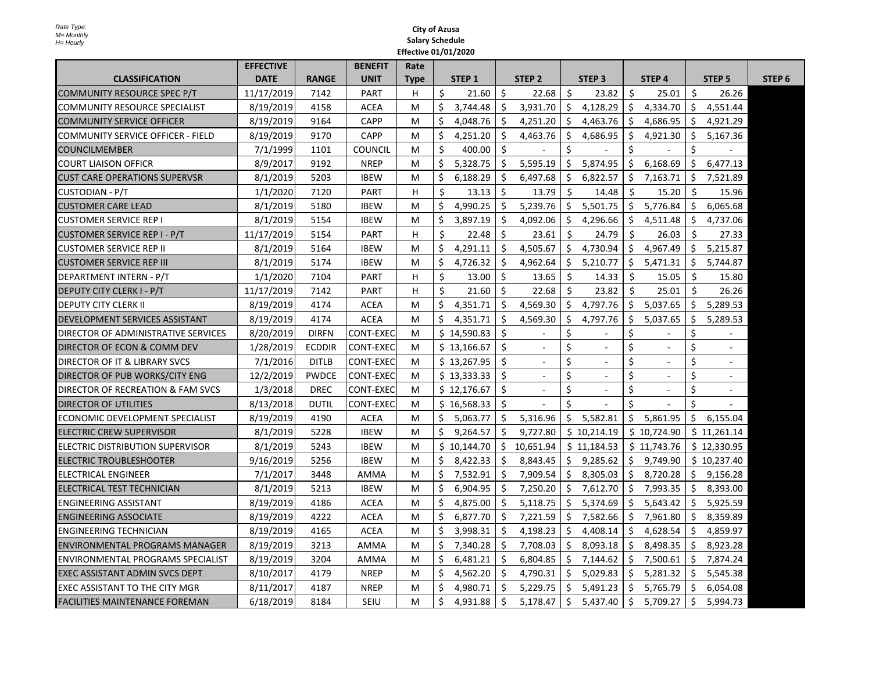|                                          | <b>EFFECTIVE</b> |               | <b>BENEFIT</b>   | Rate        |    |                   |     |                          |         |                          |                    |                   |              |                   |                   |
|------------------------------------------|------------------|---------------|------------------|-------------|----|-------------------|-----|--------------------------|---------|--------------------------|--------------------|-------------------|--------------|-------------------|-------------------|
| <b>CLASSIFICATION</b>                    | <b>DATE</b>      | <b>RANGE</b>  | <b>UNIT</b>      | <b>Type</b> |    | STEP <sub>1</sub> |     | STEP <sub>2</sub>        |         | STEP <sub>3</sub>        |                    | STEP <sub>4</sub> |              | STEP <sub>5</sub> | STEP <sub>6</sub> |
| COMMUNITY RESOURCE SPEC P/T              | 11/17/2019       | 7142          | <b>PART</b>      | H           | Ś. | 21.60             | Ś.  | 22.68                    | Ŝ.      | 23.82                    | \$                 | 25.01             | Ŝ.           | 26.26             |                   |
| <b>COMMUNITY RESOURCE SPECIALIST</b>     | 8/19/2019        | 4158          | <b>ACEA</b>      | м           | \$ | 3,744.48          | \$  | 3,931.70                 | \$      | 4,128.29                 | \$                 | 4,334.70          | \$           | 4,551.44          |                   |
| <b>COMMUNITY SERVICE OFFICER</b>         | 8/19/2019        | 9164          | <b>CAPP</b>      | м           | Ś  | 4,048.76          | \$. | 4,251.20                 | \$      | 4,463.76                 | \$                 | 4,686.95          | \$           | 4,921.29          |                   |
| <b>COMMUNITY SERVICE OFFICER - FIELD</b> | 8/19/2019        | 9170          | <b>CAPP</b>      | М           | Ŝ. | 4,251.20          | Ŝ.  | 4,463.76                 | \$      | 4,686.95                 | Ŝ.                 | 4,921.30          | Ŝ.           | 5,167.36          |                   |
| <b>COUNCILMEMBER</b>                     | 7/1/1999         | 1101          | <b>COUNCIL</b>   | M           | Ś. | 400.00            | Ŝ.  | $\sim$                   | \$      | $\overline{\phantom{a}}$ | $\mathsf{\hat{S}}$ |                   | <sup>5</sup> |                   |                   |
| <b>COURT LIAISON OFFICR</b>              | 8/9/2017         | 9192          | <b>NREP</b>      | М           | \$ | 5,328.75          | \$  | 5,595.19                 | \$      | 5,874.95                 | \$.                | 6,168.69          | \$           | 6,477.13          |                   |
| <b>CUST CARE OPERATIONS SUPERVSR</b>     | 8/1/2019         | 5203          | <b>IBEW</b>      | м           | Ś  | 6,188.29          | Ś.  | 6,497.68                 | \$      | 6,822.57                 | Ŝ.                 | 7,163.71          | \$           | 7,521.89          |                   |
| CUSTODIAN - P/T                          | 1/1/2020         | 7120          | <b>PART</b>      | н           | Ś  | 13.13             | Ŝ.  | 13.79                    | Ŝ.      | 14.48                    | Ŝ.                 | 15.20             | Ŝ.           | 15.96             |                   |
| <b>CUSTOMER CARE LEAD</b>                | 8/1/2019         | 5180          | <b>IBEW</b>      | м           | \$ | 4,990.25          | \$  | 5,239.76                 | \$      | 5,501.75                 | \$                 | 5,776.84          | \$           | 6,065.68          |                   |
| <b>CUSTOMER SERVICE REP I</b>            | 8/1/2019         | 5154          | <b>IBEW</b>      | М           | Ś  | 3,897.19          | \$  | 4,092.06                 | \$      | 4,296.66                 | Ŝ.                 | 4,511.48          | S.           | 4,737.06          |                   |
| CUSTOMER SERVICE REP I - P/T             | 11/17/2019       | 5154          | <b>PART</b>      | H           | Ś. | 22.48             | Ŝ.  | 23.61                    | Ŝ.      | 24.79                    | Ŝ.                 | 26.03             | Ŝ.           | 27.33             |                   |
| <b>CUSTOMER SERVICE REP II</b>           | 8/1/2019         | 5164          | <b>IBEW</b>      | М           | S  | 4,291.11          | \$  | 4,505.67                 | \$      | 4,730.94                 | \$.                | 4,967.49          | \$           | 5,215.87          |                   |
| ICUSTOMER SERVICE REP III                | 8/1/2019         | 5174          | <b>IBEW</b>      | м           | \$ | 4,726.32          | \$  | 4,962.64                 | \$      | 5,210.77                 | Ŝ.                 | 5,471.31          | \$           | 5,744.87          |                   |
| DEPARTMENT INTERN - P/T                  | 1/1/2020         | 7104          | <b>PART</b>      | H           | Ś. | 13.00             | Ŝ.  | 13.65                    | Ŝ.      | 14.33                    | \$                 | 15.05             | Ŝ.           | 15.80             |                   |
| <b>DEPUTY CITY CLERK I - P/T</b>         | 11/17/2019       | 7142          | <b>PART</b>      | н           | \$ | 21.60             | Ŝ.  | 22.68                    | -Ś      | 23.82                    | Ŝ.                 | 25.01             | Ŝ.           | 26.26             |                   |
| IDEPUTY CITY CLERK II                    | 8/19/2019        | 4174          | <b>ACEA</b>      | м           | Ś. | 4.351.71          | Ŝ.  | 4.569.30                 | Ś.      | 4,797.76                 | Ŝ.                 | 5,037.65          | Ŝ.           | 5.289.53          |                   |
| IDEVELOPMENT SERVICES ASSISTANT          | 8/19/2019        | 4174          | <b>ACEA</b>      | M           | Ś. | 4,351.71          | Ŝ.  | 4,569.30                 | \$      | 4,797.76                 | Ś.                 | 5,037.65          | Ŝ.           | 5,289.53          |                   |
| DIRECTOR OF ADMINISTRATIVE SERVICES      | 8/20/2019        | <b>DIRFN</b>  | <b>CONT-EXEC</b> | М           |    | \$14,590.83       | \$  | $\overline{\phantom{a}}$ | \$      |                          | \$                 |                   | \$           |                   |                   |
| DIRECTOR OF ECON & COMM DEV              | 1/28/2019        | <b>ECDDIR</b> | CONT-EXEC        | м           |    | \$13,166.67       | Ś.  |                          | \$      |                          | \$                 |                   | \$           |                   |                   |
| DIRECTOR OF IT & LIBRARY SVCS            | 7/1/2016         | <b>DITLB</b>  | CONT-EXEC        | M           |    | \$13,267.95       | Ś.  |                          | \$      |                          | \$                 |                   | \$           |                   |                   |
| DIRECTOR OF PUB WORKS/CITY ENG           | 12/2/2019        | <b>PWDCE</b>  | <b>CONT-EXEC</b> | M           |    | \$13,333.33       | \$  | $\overline{a}$           | \$      |                          | \$                 |                   | \$           |                   |                   |
| DIRECTOR OF RECREATION & FAM SVCS        | 1/3/2018         | <b>DREC</b>   | CONT-EXEC        | M           |    | \$12,176.67       | Ś.  | $\sim$                   | $\zeta$ | ÷.                       | Ś.                 |                   | Ś.           | $\sim$            |                   |
| DIRECTOR OF UTILITIES                    | 8/13/2018        | <b>DUTIL</b>  | CONT-EXEC        | M           |    | \$16,568.33       | Ś.  |                          | \$      |                          | \$                 |                   | $\zeta$      |                   |                   |
| <b>ECONOMIC DEVELOPMENT SPECIALIST</b>   | 8/19/2019        | 4190          | <b>ACEA</b>      | м           | Ś. | 5,063.77          | Ś.  | 5,316.96                 | \$      | 5,582.81                 | Ŝ.                 | 5,861.95          | \$           | 6,155.04          |                   |
| <b>ELECTRIC CREW SUPERVISOR</b>          | 8/1/2019         | 5228          | <b>IBEW</b>      | м           | Ś. | 9,264.57          | Ŝ.  | 9,727.80                 |         | \$10,214.19              |                    | \$10,724.90       |              | \$11,261.14       |                   |
| IELECTRIC DISTRIBUTION SUPERVISOR        | 8/1/2019         | 5243          | <b>IBEW</b>      | м           |    | \$10,144.70       |     | \$10,651.94              |         | \$11,184.53              |                    | \$11,743.76       |              | \$12,330.95       |                   |
| IELECTRIC TROUBLESHOOTER                 | 9/16/2019        | 5256          | <b>IBEW</b>      | м           | Ŝ. | 8,422.33          | Ŝ.  | 8,843.45                 | Ŝ.      | 9,285.62                 | Ś.                 | 9,749.90          |              | \$10,237.40       |                   |
| <b>ELECTRICAL ENGINEER</b>               | 7/1/2017         | 3448          | AMMA             | м           | Ś  | 7,532.91          | \$  | 7,909.54                 | \$      | 8,305.03                 | \$                 | 8,720.28          | \$           | 9,156.28          |                   |
| ELECTRICAL TEST TECHNICIAN               | 8/1/2019         | 5213          | <b>IBEW</b>      | М           | \$ | 6,904.95          | \$  | 7,250.20                 | \$      | 7,612.70                 | \$                 | 7,993.35          | \$           | 8,393.00          |                   |
| <b>ENGINEERING ASSISTANT</b>             | 8/19/2019        | 4186          | <b>ACEA</b>      | М           | Ś  | 4.875.00          | Ŝ.  | 5,118.75                 | Ŝ.      | 5,374.69                 | Ŝ.                 | 5,643.42          | Ŝ.           | 5,925.59          |                   |
| <b>ENGINEERING ASSOCIATE</b>             | 8/19/2019        | 4222          | <b>ACEA</b>      | м           | Ŝ. | 6,877.70          | \$  | 7,221.59                 | \$      | 7,582.66                 | \$.                | 7,961.80          | S.           | 8,359.89          |                   |
| IENGINEERING TECHNICIAN                  | 8/19/2019        | 4165          | ACEA             | М           | Ś  | 3,998.31          | \$  | 4,198.23                 | \$      | 4,408.14                 | \$.                | 4,628.54          | \$.          | 4,859.97          |                   |
| ENVIRONMENTAL PROGRAMS MANAGER           | 8/19/2019        | 3213          | <b>AMMA</b>      | M           | Ś  | 7,340.28          | Ŝ.  | 7,708.03                 | \$      | 8,093.18                 | Ŝ.                 | 8,498.35          | Ŝ.           | 8,923.28          |                   |
| ENVIRONMENTAL PROGRAMS SPECIALIST        | 8/19/2019        | 3204          | AMMA             | м           | Ś  | 6,481.21          | \$  | 6,804.85                 | \$      | 7,144.62                 | \$.                | 7,500.61          | \$           | 7,874.24          |                   |
| IEXEC ASSISTANT ADMIN SVCS DEPT          | 8/10/2017        | 4179          | <b>NREP</b>      | м           | \$ | 4,562.20          | Ŝ.  | 4,790.31                 | \$      | 5,029.83                 | Ŝ.                 | 5,281.32          | \$           | 5,545.38          |                   |
| EXEC ASSISTANT TO THE CITY MGR           | 8/11/2017        | 4187          | <b>NREP</b>      | м           | Ś  | 4,980.71          | Ŝ.  | 5,229.75                 | Ŝ.      | 5,491.23                 | Ŝ.                 | 5,765.79          | Ŝ.           | 6,054.08          |                   |
| <b>FACILITIES MAINTENANCE FOREMAN</b>    | 6/18/2019        | 8184          | SEIU             | м           | Ś. | 4,931.88          | \$  | 5,178.47                 | \$      | 5,437.40                 | \$                 | 5,709.27          | Ś.           | 5,994.73          |                   |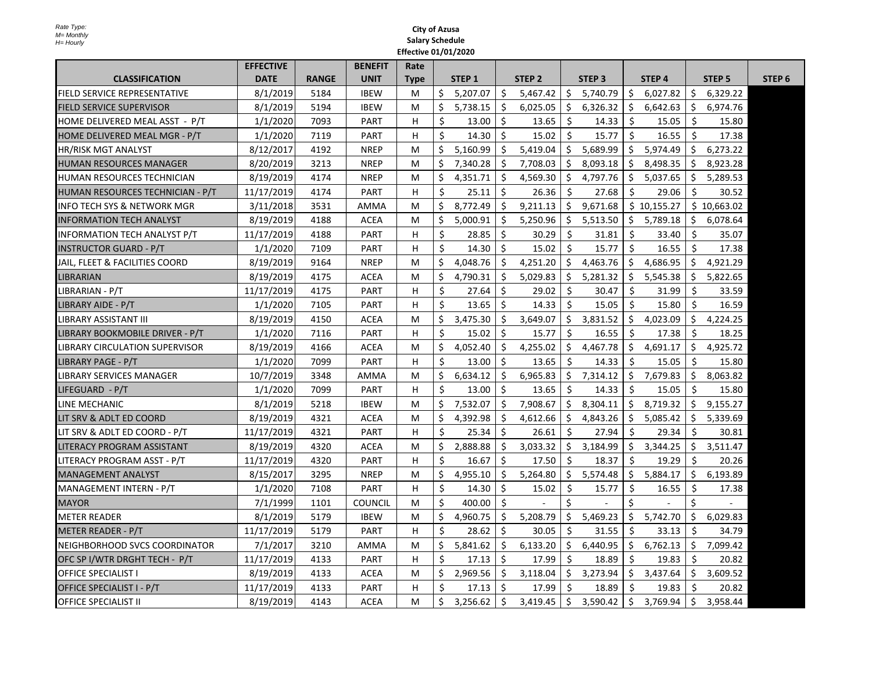|                                  | <b>EFFECTIVE</b> |              | <b>BENEFIT</b> | Rate        |              |                   |    |                   |     |                   |              |                   |     |                   |                   |
|----------------------------------|------------------|--------------|----------------|-------------|--------------|-------------------|----|-------------------|-----|-------------------|--------------|-------------------|-----|-------------------|-------------------|
| <b>CLASSIFICATION</b>            | <b>DATE</b>      | <b>RANGE</b> | <b>UNIT</b>    | <b>Type</b> |              | STEP <sub>1</sub> |    | STEP <sub>2</sub> |     | STEP <sub>3</sub> |              | STEP <sub>4</sub> |     | STEP <sub>5</sub> | STEP <sub>6</sub> |
| FIELD SERVICE REPRESENTATIVE     | 8/1/2019         | 5184         | <b>IBEW</b>    | М           | \$           | 5,207.07          | Ŝ. | 5,467.42          | \$  | 5,740.79          | \$           | 6,027.82          | \$  | 6,329.22          |                   |
| <b>FIELD SERVICE SUPERVISOR</b>  | 8/1/2019         | 5194         | <b>IBEW</b>    | M           | \$           | 5,738.15          | \$ | 6,025.05          | \$  | 6,326.32          | \$           | 6,642.63          | \$  | 6,974.76          |                   |
| HOME DELIVERED MEAL ASST - P/T   | 1/1/2020         | 7093         | <b>PART</b>    | H           | \$           | 13.00             | Ś. | 13.65             | Ŝ.  | 14.33             | Ŝ.           | 15.05             | Ŝ.  | 15.80             |                   |
| HOME DELIVERED MEAL MGR - P/T    | 1/1/2020         | 7119         | <b>PART</b>    | н           | \$           | 14.30             | Ś. | 15.02             | Ŝ.  | 15.77             | Ŝ.           | 16.55             | Ŝ.  | 17.38             |                   |
| <b>HR/RISK MGT ANALYST</b>       | 8/12/2017        | 4192         | <b>NREP</b>    | M           | \$           | 5.160.99          | Ś. | 5,419.04          | Ŝ.  | 5,689.99          | Ś.           | 5,974.49          | Ŝ.  | 6,273.22          |                   |
| <b>HUMAN RESOURCES MANAGER</b>   | 8/20/2019        | 3213         | <b>NREP</b>    | M           | Ś.           | 7,340.28          | Ŝ. | 7,708.03          | Ŝ.  | 8,093.18          | Ŝ.           | 8,498.35          | Ŝ.  | 8,923.28          |                   |
| HUMAN RESOURCES TECHNICIAN       | 8/19/2019        | 4174         | <b>NREP</b>    | М           | \$           | 4,351.71          | \$ | 4,569.30          | \$. | 4,797.76          | \$           | 5,037.65          | \$  | 5,289.53          |                   |
| HUMAN RESOURCES TECHNICIAN - P/T | 11/17/2019       | 4174         | <b>PART</b>    | н           | \$           | 25.11             | \$ | 26.36             | \$  | 27.68             | Ŝ.           | 29.06             | Ś.  | 30.52             |                   |
| INFO TECH SYS & NETWORK MGR      | 3/11/2018        | 3531         | AMMA           | M           | Ś.           | 8,772.49          | Ś. | 9,211.13          | Ŝ.  | 9,671.68          |              | \$10,155.27       |     | \$10.663.02       |                   |
| <b>INFORMATION TECH ANALYST</b>  | 8/19/2019        | 4188         | <b>ACEA</b>    | М           | \$           | 5,000.91          | \$ | 5,250.96          | \$  | 5,513.50          | \$           | 5,789.18          | \$  | 6,078.64          |                   |
| INFORMATION TECH ANALYST P/T     | 11/17/2019       | 4188         | <b>PART</b>    | H           | \$           | 28.85             | Ŝ. | 30.29             | Ŝ.  | 31.81             | Ŝ.           | 33.40             | Ŝ.  | 35.07             |                   |
| INSTRUCTOR GUARD - P/T           | 1/1/2020         | 7109         | PART           | н           | $\zeta$      | 14.30             | Ŝ. | 15.02             | \$  | 15.77             | $\zeta$      | 16.55             | Ŝ.  | 17.38             |                   |
| JAIL, FLEET & FACILITIES COORD   | 8/19/2019        | 9164         | <b>NREP</b>    | М           | \$           | 4,048.76          | Ś. | 4,251.20          | \$  | 4,463.76          | \$           | 4,686.95          | \$. | 4,921.29          |                   |
| <b>LIBRARIAN</b>                 | 8/19/2019        | 4175         | <b>ACEA</b>    | M           | Ś.           | 4,790.31          | Ś. | 5,029.83          | \$  | 5,281.32          | Ŝ.           | 5,545.38          | Ś.  | 5,822.65          |                   |
| LIBRARIAN - P/T                  | 11/17/2019       | 4175         | <b>PART</b>    | н           | \$           | 27.64             | Ŝ. | 29.02             | \$  | 30.47             | \$           | 31.99             | \$  | 33.59             |                   |
| LIBRARY AIDE - P/T               | 1/1/2020         | 7105         | <b>PART</b>    | н           | $\mathsf{S}$ | 13.65             | Ŝ. | 14.33             | Ŝ.  | 15.05             | <sup>5</sup> | 15.80             | Ŝ.  | 16.59             |                   |
| <b>LIBRARY ASSISTANT III</b>     | 8/19/2019        | 4150         | <b>ACEA</b>    | M           | Ś.           | 3,475.30          | Ś. | 3,649.07          | Ŝ.  | 3.831.52          | Ś.           | 4.023.09          | Ś.  | 4.224.25          |                   |
| LIBRARY BOOKMOBILE DRIVER - P/T  | 1/1/2020         | 7116         | <b>PART</b>    | н           | \$           | 15.02             | Ŝ. | 15.77             | Ŝ.  | 16.55             | Ŝ.           | 17.38             | Ŝ.  | 18.25             |                   |
| LIBRARY CIRCULATION SUPERVISOR   | 8/19/2019        | 4166         | <b>ACEA</b>    | M           | \$           | 4,052.40          | \$ | 4,255.02          | \$  | 4,467.78          | \$           | 4,691.17          | \$  | 4,925.72          |                   |
| LIBRARY PAGE - P/T               | 1/1/2020         | 7099         | <b>PART</b>    | н           | $\zeta$      | 13.00             | Ś. | 13.65             | Ŝ.  | 14.33             | Ŝ.           | 15.05             | Ŝ.  | 15.80             |                   |
| LIBRARY SERVICES MANAGER         | 10/7/2019        | 3348         | AMMA           | М           | \$           | 6,634.12          | Ś. | 6,965.83          | \$  | 7,314.12          | \$           | 7,679.83          | Ś.  | 8,063.82          |                   |
| LIFEGUARD - P/T                  | 1/1/2020         | 7099         | <b>PART</b>    | H           | Ŝ.           | 13.00             | Ŝ. | 13.65             | Ŝ.  | 14.33             | Ŝ.           | 15.05             | Ŝ.  | 15.80             |                   |
| LINE MECHANIC                    | 8/1/2019         | 5218         | <b>IBEW</b>    | М           | \$           | 7,532.07          | \$ | 7,908.67          | \$  | 8,304.11          | \$           | 8,719.32          | \$  | 9,155.27          |                   |
| LIT SRV & ADLT ED COORD          | 8/19/2019        | 4321         | <b>ACEA</b>    | M           | Ś.           | 4,392.98          | Ŝ. | 4,612.66          | \$  | 4,843.26          | Ŝ.           | 5,085.42          | Ŝ.  | 5,339.69          |                   |
| LIT SRV & ADLT ED COORD - P/T    | 11/17/2019       | 4321         | <b>PART</b>    | H           | $\zeta$      | 25.34             | Ŝ. | 26.61             | Ŝ.  | 27.94             | Ŝ.           | 29.34             | Ŝ.  | 30.81             |                   |
| LITERACY PROGRAM ASSISTANT       | 8/19/2019        | 4320         | ACEA           | М           | \$           | 2,888.88          | Ś. | 3,033.32          | Ŝ.  | 3,184.99          | Ŝ.           | 3,344.25          | Ś.  | 3,511.47          |                   |
| LITERACY PROGRAM ASST - P/T      | 11/17/2019       | 4320         | <b>PART</b>    | н           | $\zeta$      | 16.67             | Ŝ. | 17.50             | Ŝ.  | 18.37             | Ŝ.           | 19.29             | Ŝ.  | 20.26             |                   |
| lMANAGEMENT ANALYST              | 8/15/2017        | 3295         | <b>NREP</b>    | M           | Ś.           | 4,955.10          | Ś. | 5,264.80          | Ŝ.  | 5,574.48          | Ś.           | 5,884.17          | Ś.  | 6,193.89          |                   |
| MANAGEMENT INTERN - P/T          | 1/1/2020         | 7108         | <b>PART</b>    | H           | \$           | 14.30             | \$ | 15.02             | \$  | 15.77             | \$           | 16.55             | Ŝ.  | 17.38             |                   |
| <b>MAYOR</b>                     | 7/1/1999         | 1101         | <b>COUNCIL</b> | M           | Ŝ.           | 400.00            | Ś. |                   | Ś.  |                   | Ś.           |                   | Ś   |                   |                   |
| <b>METER READER</b>              | 8/1/2019         | 5179         | <b>IBEW</b>    | М           | \$           | 4,960.75          | \$ | 5,208.79          | \$  | 5,469.23          | \$           | 5,742.70          | Ś.  | 6,029.83          |                   |
| METER READER - P/T               | 11/17/2019       | 5179         | <b>PART</b>    | H           | \$           | 28.62             | Ŝ. | 30.05             | Ŝ.  | 31.55             | Ŝ.           | 33.13             | Ŝ.  | 34.79             |                   |
| NEIGHBORHOOD SVCS COORDINATOR    | 7/1/2017         | 3210         | <b>AMMA</b>    | M           | Ś.           | 5,841.62          | Ś. | 6,133.20          | \$  | 6,440.95          | \$           | 6,762.13          | Ŝ.  | 7,099.42          |                   |
| OFC SP I/WTR DRGHT TECH - P/T    | 11/17/2019       | 4133         | <b>PART</b>    | н           | \$           | 17.13             | \$ | 17.99             | Ŝ.  | 18.89             | Ŝ.           | 19.83             | Ŝ.  | 20.82             |                   |
| <b>OFFICE SPECIALIST I</b>       | 8/19/2019        | 4133         | <b>ACEA</b>    | М           | \$           | 2,969.56          | \$ | 3,118.04          | \$  | 3,273.94          | \$           | 3,437.64          | \$  | 3,609.52          |                   |
| OFFICE SPECIALIST I - P/T        | 11/17/2019       | 4133         | <b>PART</b>    | H           | \$           | 17.13             | Ŝ. | 17.99             | Ŝ.  | 18.89             | Ŝ.           | 19.83             | Ŝ.  | 20.82             |                   |
| <b>OFFICE SPECIALIST II</b>      | 8/19/2019        | 4143         | <b>ACEA</b>    | M           | \$           | 3,256.62          | Ŝ. | 3,419.45          | \$  | 3,590.42          | \$           | 3,769.94          | \$  | 3,958.44          |                   |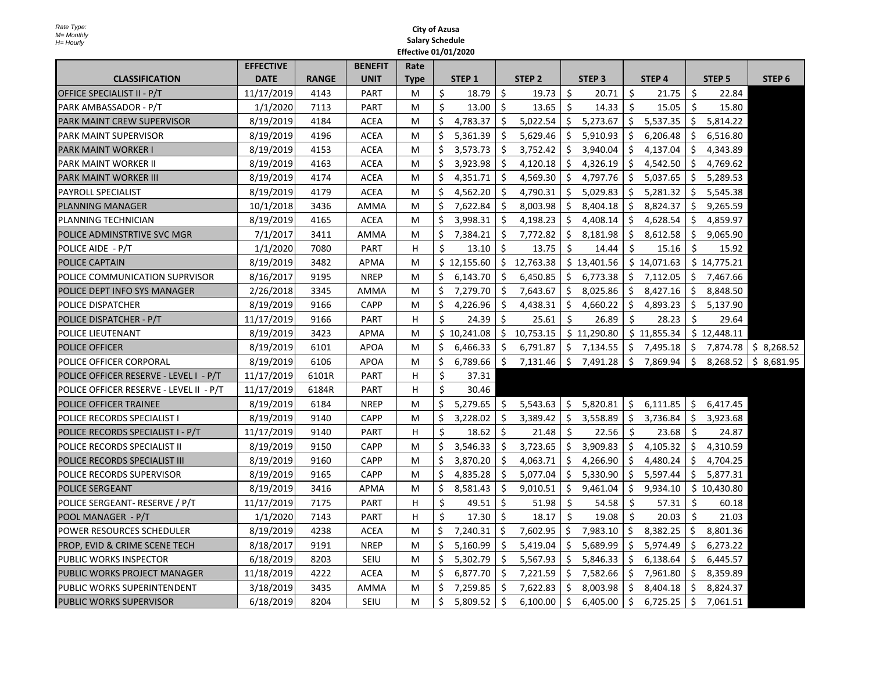|                                         | <b>EFFECTIVE</b> |              | <b>BENEFIT</b> | Rate        |         |                   |              |                   |                    |                   |     |                   |     |                   |                   |
|-----------------------------------------|------------------|--------------|----------------|-------------|---------|-------------------|--------------|-------------------|--------------------|-------------------|-----|-------------------|-----|-------------------|-------------------|
| <b>CLASSIFICATION</b>                   | <b>DATE</b>      | <b>RANGE</b> | <b>UNIT</b>    | <b>Type</b> |         | STEP <sub>1</sub> |              | STEP <sub>2</sub> |                    | STEP <sub>3</sub> |     | STEP <sub>4</sub> |     | STEP <sub>5</sub> | STEP <sub>6</sub> |
| OFFICE SPECIALIST II - P/T              | 11/17/2019       | 4143         | <b>PART</b>    | M           | $\zeta$ | 18.79             | Ŝ.           | 19.73             | Ŝ.                 | 20.71             | Ŝ.  | 21.75             | Ŝ.  | 22.84             |                   |
| PARK AMBASSADOR - P/T                   | 1/1/2020         | 7113         | <b>PART</b>    | M           | $\zeta$ | 13.00             | Ś.           | 13.65             | Ŝ.                 | 14.33             | Ŝ.  | 15.05             | Ŝ.  | 15.80             |                   |
| <b>PARK MAINT CREW SUPERVISOR</b>       | 8/19/2019        | 4184         | <b>ACEA</b>    | M           | \$      | 4,783.37          | \$           | 5,022.54          | \$                 | 5,273.67          | \$  | 5,537.35          | \$  | 5,814.22          |                   |
| PARK MAINT SUPERVISOR                   | 8/19/2019        | 4196         | <b>ACEA</b>    | M           | \$      | 5,361.39          | \$           | 5,629.46          | \$                 | 5,910.93          | \$  | 6,206.48          | \$  | 6,516.80          |                   |
| <b>PARK MAINT WORKER I</b>              | 8/19/2019        | 4153         | <b>ACEA</b>    | M           | \$      | 3,573.73          | $\mathsf{S}$ | 3,752.42          | $\mathsf{\hat{S}}$ | 3,940.04          | Ś.  | 4,137.04          | Ś.  | 4,343.89          |                   |
| <b>PARK MAINT WORKER II</b>             | 8/19/2019        | 4163         | <b>ACEA</b>    | M           | Ś.      | 3,923.98          | Ŝ.           | 4,120.18          | Ŝ.                 | 4,326.19          | Ŝ.  | 4,542.50          | Ŝ.  | 4,769.62          |                   |
| <b>PARK MAINT WORKER III</b>            | 8/19/2019        | 4174         | <b>ACEA</b>    | M           | \$      | 4,351.71          | \$           | 4,569.30          | \$                 | 4,797.76          | \$. | 5,037.65          | \$  | 5,289.53          |                   |
| <b>PAYROLL SPECIALIST</b>               | 8/19/2019        | 4179         | <b>ACEA</b>    | M           | \$      | 4,562.20          | Ś.           | 4,790.31          | \$                 | 5,029.83          | Ŝ.  | 5,281.32          | Ŝ.  | 5,545.38          |                   |
| <b>PLANNING MANAGER</b>                 | 10/1/2018        | 3436         | AMMA           | M           | \$      | 7,622.84          | \$           | 8,003.98          | S.                 | 8,404.18          | \$  | 8,824.37          | \$. | 9,265.59          |                   |
| PLANNING TECHNICIAN                     | 8/19/2019        | 4165         | <b>ACEA</b>    | M           | \$      | 3,998.31          | Ś.           | 4,198.23          | \$                 | 4,408.14          | \$  | 4,628.54          | Ŝ.  | 4,859.97          |                   |
| POLICE ADMINSTRTIVE SVC MGR             | 7/1/2017         | 3411         | AMMA           | M           | \$      | 7,384.21          | \$           | 7,772.82          | \$                 | 8,181.98          | \$. | 8,612.58          | Ŝ.  | 9,065.90          |                   |
| POLICE AIDE - P/T                       | 1/1/2020         | 7080         | <b>PART</b>    | H           | \$      | 13.10             | \$           | 13.75             | Ŝ.                 | 14.44             | Ŝ.  | 15.16             | Ŝ.  | 15.92             |                   |
| POLICE CAPTAIN                          | 8/19/2019        | 3482         | APMA           | M           |         | \$12,155.60       | \$           | 12,763.38         |                    | \$13,401.56       |     | \$14,071.63       |     | \$14,775.21       |                   |
| POLICE COMMUNICATION SUPRVISOR          | 8/16/2017        | 9195         | <b>NREP</b>    | M           | \$      | 6,143.70          | Ś.           | 6,450.85          | Ŝ.                 | 6,773.38          | Ŝ.  | 7,112.05          | \$  | 7,467.66          |                   |
| POLICE DEPT INFO SYS MANAGER            | 2/26/2018        | 3345         | AMMA           | M           | \$      | 7,279.70          | Ŝ.           | 7,643.67          | Ŝ.                 | 8,025.86          | Ŝ.  | 8,427.16          | Ś.  | 8,848.50          |                   |
| POLICE DISPATCHER                       | 8/19/2019        | 9166         | <b>CAPP</b>    | M           | \$      | 4,226.96          | Ŝ.           | 4,438.31          | Ŝ.                 | 4,660.22          | Ŝ.  | 4,893.23          | Ŝ.  | 5,137.90          |                   |
| POLICE DISPATCHER - P/T                 | 11/17/2019       | 9166         | PART           | H           | \$      | 24.39             | \$           | 25.61             | Ŝ.                 | 26.89             | \$  | 28.23             | Ś.  | 29.64             |                   |
| POLICE LIEUTENANT                       | 8/19/2019        | 3423         | APMA           | M           |         | \$10.241.08       |              | \$10,753.15       |                    | \$11,290.80       |     | \$11,855.34       |     | \$12.448.11       |                   |
| <b>POLICE OFFICER</b>                   | 8/19/2019        | 6101         | <b>APOA</b>    | M           | \$      | 6,466.33          | \$           | 6,791.87          |                    | \$7,134.55        | \$  | 7,495.18          |     | \$7,874.78        | \$8,268.52        |
| POLICE OFFICER CORPORAL                 | 8/19/2019        | 6106         | <b>APOA</b>    | M           | \$      | 6,789.66          | \$           | 7,131.46          | \$                 | 7,491.28          | \$  | 7,869.94          | \$  | 8,268.52          | \$8,681.95        |
| POLICE OFFICER RESERVE - LEVEL I - P/T  | 11/17/2019       | 6101R        | <b>PART</b>    | н           | \$      | 37.31             |              |                   |                    |                   |     |                   |     |                   |                   |
| POLICE OFFICER RESERVE - LEVEL II - P/T | 11/17/2019       | 6184R        | <b>PART</b>    | н           | Ŝ.      | 30.46             |              |                   |                    |                   |     |                   |     |                   |                   |
| <b>POLICE OFFICER TRAINEE</b>           | 8/19/2019        | 6184         | <b>NREP</b>    | M           | \$      | 5,279.65          | \$           | 5,543.63          | \$                 | 5,820.81          | \$  | 6,111.85          |     | \$6,417.45        |                   |
| POLICE RECORDS SPECIALIST I             | 8/19/2019        | 9140         | <b>CAPP</b>    | M           | \$      | 3,228.02          | \$           | 3,389.42          | Ŝ.                 | 3,558.89          | Ŝ.  | 3,736.84          | Ŝ.  | 3,923.68          |                   |
| POLICE RECORDS SPECIALIST I - P/T       | 11/17/2019       | 9140         | <b>PART</b>    | н           | \$      | 18.62             | Ś.           | 21.48             | Ŝ.                 | 22.56             | Ŝ.  | 23.68             | Ŝ.  | 24.87             |                   |
| POLICE RECORDS SPECIALIST II            | 8/19/2019        | 9150         | <b>CAPP</b>    | M           | Ś.      | 3,546.33          | Ś.           | 3,723.65          | $\mathsf{\hat{S}}$ | 3,909.83          | Ś.  | 4,105.32          | Ś.  | 4,310.59          |                   |
| POLICE RECORDS SPECIALIST III           | 8/19/2019        | 9160         | <b>CAPP</b>    | M           | \$      | 3,870.20          | Ŝ.           | 4,063.71          | Ŝ.                 | 4,266.90          | \$  | 4,480.24          | Ŝ.  | 4,704.25          |                   |
| POLICE RECORDS SUPERVISOR               | 8/19/2019        | 9165         | <b>CAPP</b>    | M           | \$      | 4,835.28          | \$           | 5,077.04          | \$.                | 5,330.90          | \$. | 5,597.44          | \$  | 5,877.31          |                   |
| <b>POLICE SERGEANT</b>                  | 8/19/2019        | 3416         | APMA           | M           | \$      | 8,581.43          | \$           | 9,010.51          | \$                 | 9,461.04          | \$  | 9,934.10          |     | \$10,430.80       |                   |
| POLICE SERGEANT- RESERVE / P/T          | 11/17/2019       | 7175         | <b>PART</b>    | H           | \$      | 49.51             | \$           | 51.98             | Ŝ.                 | 54.58             | -\$ | 57.31             | \$  | 60.18             |                   |
| POOL MANAGER - P/T                      | 1/1/2020         | 7143         | <b>PART</b>    | н           | Ŝ.      | 17.30             | Ś.           | 18.17             | -Ś                 | 19.08             | Ŝ.  | 20.03             | Ŝ.  | 21.03             |                   |
| POWER RESOURCES SCHEDULER               | 8/19/2019        | 4238         | <b>ACEA</b>    | M           | \$      | 7,240.31          | Ŝ.           | 7,602.95          | Ŝ.                 | 7,983.10          | \$  | 8,382.25          | \$  | 8,801.36          |                   |
| PROP, EVID & CRIME SCENE TECH           | 8/18/2017        | 9191         | <b>NREP</b>    | M           | \$      | 5,160.99          | \$.          | 5,419.04          | \$.                | 5,689.99          | \$. | 5,974.49          | \$. | 6,273.22          |                   |
| PUBLIC WORKS INSPECTOR                  | 6/18/2019        | 8203         | SEIU           | M           | \$      | 5,302.79          | \$           | 5,567.93          | \$                 | 5,846.33          | \$  | 6,138.64          | \$  | 6,445.57          |                   |
| PUBLIC WORKS PROJECT MANAGER            | 11/18/2019       | 4222         | <b>ACEA</b>    | M           | \$      | 6,877.70          | Ŝ.           | 7,221.59          | Ŝ.                 | 7,582.66          | Ŝ.  | 7,961.80          | Ŝ.  | 8,359.89          |                   |
| PUBLIC WORKS SUPERINTENDENT             | 3/18/2019        | 3435         | AMMA           | M           | \$      | 7,259.85          | Ŝ.           | 7,622.83          | Ŝ.                 | 8,003.98          | Ŝ.  | 8,404.18          | Ŝ.  | 8,824.37          |                   |
| <b>PUBLIC WORKS SUPERVISOR</b>          | 6/18/2019        | 8204         | SEIU           | M           | \$      | 5,809.52          | \$           | 6,100.00          | \$                 | 6,405.00          | \$  | 6,725.25          | \$  | 7,061.51          |                   |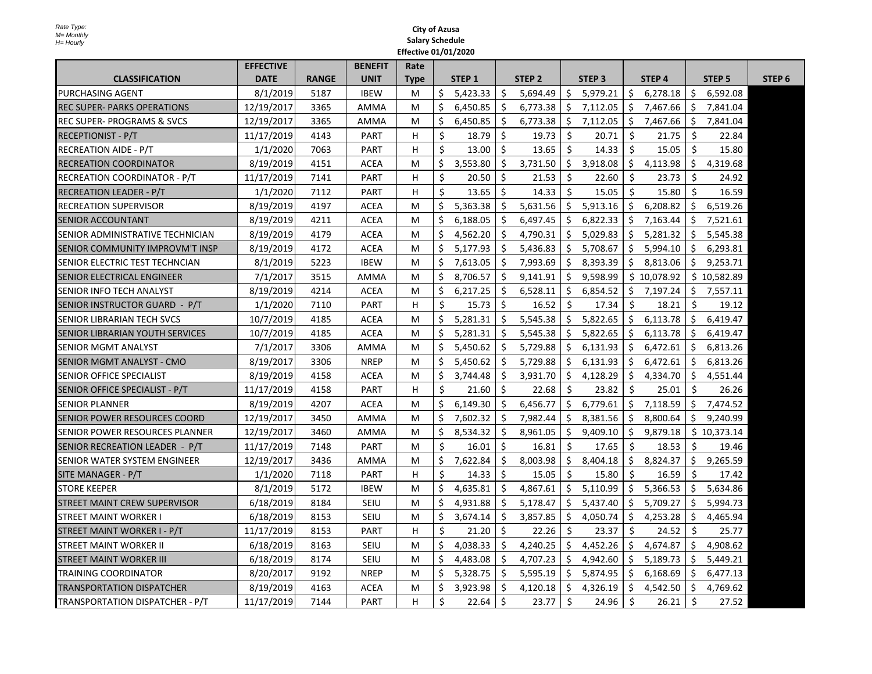|                                      | <b>EFFECTIVE</b> |              | <b>BENEFIT</b> | Rate        |         |                   |     |                   |         |                   |         |                   |     |                   |                   |
|--------------------------------------|------------------|--------------|----------------|-------------|---------|-------------------|-----|-------------------|---------|-------------------|---------|-------------------|-----|-------------------|-------------------|
| <b>CLASSIFICATION</b>                | <b>DATE</b>      | <b>RANGE</b> | <b>UNIT</b>    | <b>Type</b> |         | STEP <sub>1</sub> |     | STEP <sub>2</sub> |         | STEP <sub>3</sub> |         | STEP <sub>4</sub> |     | STEP <sub>5</sub> | STEP <sub>6</sub> |
| PURCHASING AGENT                     | 8/1/2019         | 5187         | <b>IBEW</b>    | м           | Ś.      | 5,423.33          | Ŝ.  | 5,694.49          | Ŝ.      | 5,979.21          | Ŝ.      | 6,278.18          | S.  | 6.592.08          |                   |
| <b>REC SUPER- PARKS OPERATIONS</b>   | 12/19/2017       | 3365         | AMMA           | М           | \$      | 6,450.85          | \$  | 6,773.38          | \$      | 7,112.05          | \$      | 7,467.66          | \$  | 7,841.04          |                   |
| <b>REC SUPER-PROGRAMS &amp; SVCS</b> | 12/19/2017       | 3365         | <b>AMMA</b>    | M           | \$      | 6,450.85          | \$  | 6,773.38          | \$      | 7,112.05          | \$      | 7,467.66          | \$  | 7,841.04          |                   |
| <b>RECEPTIONIST - P/T</b>            | 11/17/2019       | 4143         | <b>PART</b>    | н           | $\zeta$ | 18.79             | Ŝ.  | 19.73             | Ŝ.      | 20.71             | Ŝ.      | 21.75             | Ŝ.  | 22.84             |                   |
| <b>RECREATION AIDE - P/T</b>         | 1/1/2020         | 7063         | <b>PART</b>    | H           | $\zeta$ | 13.00             | Ś.  | 13.65             | Ŝ.      | 14.33             | Ŝ.      | 15.05             | Ŝ.  | 15.80             |                   |
| <b>RECREATION COORDINATOR</b>        | 8/19/2019        | 4151         | <b>ACEA</b>    | M           | \$      | 3,553.80          | Ś.  | 3,731.50          | Ŝ.      | 3,918.08          | Ŝ.      | 4,113.98          | Ś.  | 4,319.68          |                   |
| RECREATION COORDINATOR - P/T         | 11/17/2019       | 7141         | <b>PART</b>    | н           | $\zeta$ | 20.50             | Ŝ.  | 21.53             | Ŝ.      | 22.60             | Ŝ.      | 23.73             | Ŝ.  | 24.92             |                   |
| <b>RECREATION LEADER - P/T</b>       | 1/1/2020         | 7112         | <b>PART</b>    | H           | \$      | 13.65             | Ś.  | 14.33             | Ŝ.      | 15.05             | Ŝ.      | 15.80             | Ŝ.  | 16.59             |                   |
| <b>RECREATION SUPERVISOR</b>         | 8/19/2019        | 4197         | <b>ACEA</b>    | M           | \$      | 5,363.38          | Ŝ.  | 5,631.56          | \$      | 5,913.16          | Ś.      | 6,208.82          | Ś.  | 6,519.26          |                   |
| SENIOR ACCOUNTANT                    | 8/19/2019        | 4211         | <b>ACEA</b>    | М           | \$      | 6,188.05          | \$  | 6,497.45          | \$.     | 6,822.33          | \$      | 7,163.44          | \$. | 7,521.61          |                   |
| SENIOR ADMINISTRATIVE TECHNICIAN     | 8/19/2019        | 4179         | <b>ACEA</b>    | М           | \$      | 4,562.20          | \$  | 4,790.31          | \$      | 5,029.83          | \$      | 5,281.32          | S   | 5,545.38          |                   |
| SENIOR COMMUNITY IMPROVM'T INSP      | 8/19/2019        | 4172         | <b>ACEA</b>    | M           | Ś.      | 5,177.93          | Ŝ.  | 5,436.83          | Ŝ.      | 5,708.67          | \$      | 5,994.10          | \$  | 6,293.81          |                   |
| SENIOR ELECTRIC TEST TECHNCIAN       | 8/1/2019         | 5223         | <b>IBEW</b>    | М           | \$      | 7,613.05          | \$. | 7,993.69          | \$.     | 8,393.39          | \$      | 8,813.06          | \$. | 9,253.71          |                   |
| SENIOR ELECTRICAL ENGINEER           | 7/1/2017         | 3515         | AMMA           | М           | \$      | 8,706.57          | Ś.  | 9,141.91          | \$.     | 9,598.99          |         | \$10,078.92       |     | \$10,582.89       |                   |
| SENIOR INFO TECH ANALYST             | 8/19/2019        | 4214         | ACEA           | М           | \$      | 6,217.25          | \$  | 6,528.11          | \$      | 6,854.52          | Ŝ.      | 7,197.24          | Ŝ.  | 7,557.11          |                   |
| SENIOR INSTRUCTOR GUARD - P/T        | 1/1/2020         | 7110         | <b>PART</b>    | н           | \$      | 15.73             | Ŝ.  | 16.52             | -Ś      | 17.34             | Ŝ.      | 18.21             | Ŝ.  | 19.12             |                   |
| SENIOR LIBRARIAN TECH SVCS           | 10/7/2019        | 4185         | <b>ACEA</b>    | М           | Ś.      | 5,281.31          | Ś.  | 5,545.38          | Ŝ.      | 5.822.65          | Ś.      | 6,113.78          | Ś.  | 6.419.47          |                   |
| SENIOR LIBRARIAN YOUTH SERVICES      | 10/7/2019        | 4185         | <b>ACEA</b>    | M           | Ś.      | 5,281.31          | Ś.  | 5,545.38          | Ŝ.      | 5,822.65          | Ś.      | 6,113.78          | Ŝ.  | 6,419.47          |                   |
| <b>SENIOR MGMT ANALYST</b>           | 7/1/2017         | 3306         | AMMA           | М           | \$      | 5,450.62          | \$  | 5,729.88          | \$.     | 6,131.93          | \$      | 6,472.61          | Ŝ.  | 6,813.26          |                   |
| SENIOR MGMT ANALYST - CMO            | 8/19/2017        | 3306         | <b>NREP</b>    | M           | Ś.      | 5.450.62          | Ś.  | 5,729.88          | \$      | 6,131.93          | Ŝ.      | 6,472.61          | Ś.  | 6,813.26          |                   |
| SENIOR OFFICE SPECIALIST             | 8/19/2019        | 4158         | ACEA           | M           | \$      | 3,744.48          | Ś.  | 3,931.70          | \$      | 4,128.29          | Ŝ.      | 4,334.70          | Ś.  | 4,551.44          |                   |
| SENIOR OFFICE SPECIALIST - P/T       | 11/17/2019       | 4158         | <b>PART</b>    | н           | \$      | 21.60             | \$  | 22.68             | Ŝ.      | 23.82             | \$      | 25.01             | \$  | 26.26             |                   |
| <b>SENIOR PLANNER</b>                | 8/19/2019        | 4207         | <b>ACEA</b>    | М           | \$      | 6,149.30          | \$  | 6,456.77          | \$      | 6,779.61          | \$      | 7,118.59          | \$  | 7,474.52          |                   |
| SENIOR POWER RESOURCES COORD         | 12/19/2017       | 3450         | <b>AMMA</b>    | М           | \$      | 7,602.32          | \$  | 7,982.44          | S       | 8,381.56          | \$      | 8,800.64          | \$  | 9,240.99          |                   |
| SENIOR POWER RESOURCES PLANNER       | 12/19/2017       | 3460         | <b>AMMA</b>    | М           | \$      | 8,534.32          | \$  | 8,961.05          | \$      | 9,409.10          | \$      | 9,879.18          |     | \$10,373.14       |                   |
| SENIOR RECREATION LEADER - P/T       | 11/17/2019       | 7148         | <b>PART</b>    | М           | \$      | 16.01             | Ŝ.  | 16.81             | Ŝ.      | 17.65             | Ŝ.      | 18.53             | \$  | 19.46             |                   |
| SENIOR WATER SYSTEM ENGINEER         | 12/19/2017       | 3436         | AMMA           | М           | \$      | 7,622.84          | Ś.  | 8,003.98          | \$      | 8,404.18          | Ś.      | 8,824.37          | Ś.  | 9,265.59          |                   |
| SITE MANAGER - P/T                   | 1/1/2020         | 7118         | <b>PART</b>    | н           | Ŝ.      | 14.33             | Ŝ.  | 15.05             | Ŝ.      | 15.80             | Ŝ.      | 16.59             | Ŝ.  | 17.42             |                   |
| <b>STORE KEEPER</b>                  | 8/1/2019         | 5172         | <b>IBEW</b>    | M           | Ś.      | 4,635.81          | Ŝ.  | 4,867.61          | Ŝ.      | 5,110.99          | Ś.      | 5,366.53          | Ś.  | 5,634.86          |                   |
| <b>STREET MAINT CREW SUPERVISOR</b>  | 6/18/2019        | 8184         | <b>SEIU</b>    | М           | Ś.      | 4,931.88          | Ś.  | 5,178.47          | \$      | 5,437.40          | Ŝ.      | 5,709.27          | Ŝ.  | 5,994.73          |                   |
| <b>STREET MAINT WORKER I</b>         | 6/18/2019        | 8153         | <b>SEIU</b>    | М           | \$      | 3,674.14          | \$  | 3,857.85          | \$      | 4,050.74          | Ŝ.      | 4,253.28          | Ŝ   | 4,465.94          |                   |
| STREET MAINT WORKER I - P/T          | 11/17/2019       | 8153         | <b>PART</b>    | н           | \$      | 21.20             | \$  | 22.26             | \$      | 23.37             | \$      | 24.52             | \$  | 25.77             |                   |
| STREET MAINT WORKER II               | 6/18/2019        | 8163         | <b>SEIU</b>    | М           | \$      | 4,038.33          | \$  | 4,240.25          | \$      | 4,452.26          | \$      | 4,674.87          | \$  | 4,908.62          |                   |
| <b>STREET MAINT WORKER III</b>       | 6/18/2019        | 8174         | <b>SEIU</b>    | M           | Ś.      | 4,483.08          | Ŝ.  | 4,707.23          | Ŝ.      | 4,942.60          | Ŝ.      | 5,189.73          | Ŝ.  | 5,449.21          |                   |
| <b>TRAINING COORDINATOR</b>          | 8/20/2017        | 9192         | <b>NREP</b>    | М           | \$      | 5,328.75          | \$  | 5,595.19          | \$.     | 5,874.95          | \$      | 6,168.69          | \$. | 6,477.13          |                   |
| TRANSPORTATION DISPATCHER            | 8/19/2019        | 4163         | <b>ACEA</b>    | М           | \$      | 3,923.98          | \$  | 4,120.18          | \$      | 4,326.19          | \$      | 4,542.50          | \$. | 4,769.62          |                   |
| TRANSPORTATION DISPATCHER - P/T      | 11/17/2019       | 7144         | <b>PART</b>    | H           | $\zeta$ | 22.64             | Ŝ.  | 23.77             | $\zeta$ | 24.96             | $\zeta$ | 26.21             | \$  | 27.52             |                   |